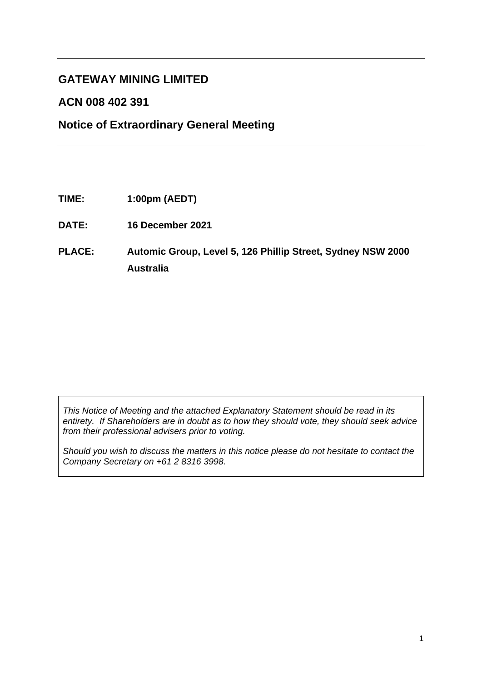# **GATEWAY MINING LIMITED**

# **ACN 008 402 391**

# **Notice of Extraordinary General Meeting**

- **TIME: 1:00pm (AEDT)**
- **DATE: 16 December 2021**
- **PLACE: Automic Group, Level 5, 126 Phillip Street, Sydney NSW 2000 Australia**

*This Notice of Meeting and the attached Explanatory Statement should be read in its entirety. If Shareholders are in doubt as to how they should vote, they should seek advice from their professional advisers prior to voting.*

*Should you wish to discuss the matters in this notice please do not hesitate to contact the Company Secretary on +61 2 8316 3998.*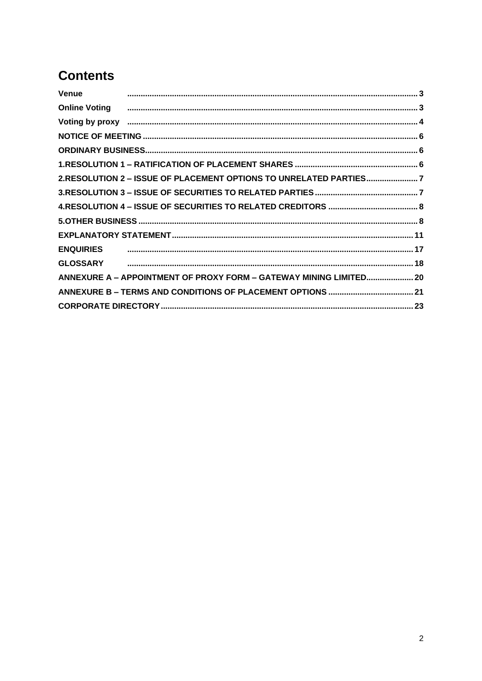# **Contents**

| Venue            |                                                                                                                                                                                                                                |  |
|------------------|--------------------------------------------------------------------------------------------------------------------------------------------------------------------------------------------------------------------------------|--|
|                  | Online Voting <b>www.marror.communication.communication.communication.communication.communication.3</b>                                                                                                                        |  |
|                  | Voting by proxy members and an anti-material contract dependent of the contract of the contract of the contract of the contract of the contract of the contract of the contract of the contract of the contract of the contrac |  |
|                  |                                                                                                                                                                                                                                |  |
|                  |                                                                                                                                                                                                                                |  |
|                  |                                                                                                                                                                                                                                |  |
|                  | 2.RESOLUTION 2 - ISSUE OF PLACEMENT OPTIONS TO UNRELATED PARTIES7                                                                                                                                                              |  |
|                  |                                                                                                                                                                                                                                |  |
|                  |                                                                                                                                                                                                                                |  |
|                  |                                                                                                                                                                                                                                |  |
|                  |                                                                                                                                                                                                                                |  |
| <b>ENQUIRIES</b> |                                                                                                                                                                                                                                |  |
| <b>GLOSSARY</b>  |                                                                                                                                                                                                                                |  |
|                  | ANNEXURE A - APPOINTMENT OF PROXY FORM - GATEWAY MINING LIMITED 20                                                                                                                                                             |  |
|                  |                                                                                                                                                                                                                                |  |
|                  |                                                                                                                                                                                                                                |  |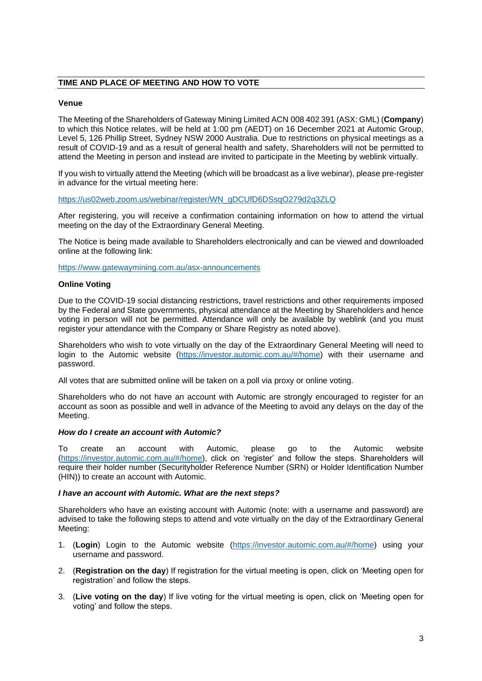# **TIME AND PLACE OF MEETING AND HOW TO VOTE**

# <span id="page-2-0"></span>**Venue**

The Meeting of the Shareholders of Gateway Mining Limited ACN 008 402 391 (ASX: GML) (**Company**) to which this Notice relates, will be held at 1:00 pm (AEDT) on 16 December 2021 at Automic Group, Level 5, 126 Phillip Street, Sydney NSW 2000 Australia. Due to restrictions on physical meetings as a result of COVID-19 and as a result of general health and safety, Shareholders will not be permitted to attend the Meeting in person and instead are invited to participate in the Meeting by weblink virtually.

If you wish to virtually attend the Meeting (which will be broadcast as a live webinar), please pre-register in advance for the virtual meeting here:

# [https://us02web.zoom.us/webinar/register/WN\\_gDCUfD6DSsqO279d2q3ZLQ](https://us02web.zoom.us/webinar/register/WN_gDCUfD6DSsqO279d2q3ZLQ)

After registering, you will receive a confirmation containing information on how to attend the virtual meeting on the day of the Extraordinary General Meeting.

The Notice is being made available to Shareholders electronically and can be viewed and downloaded online at the following link:

<https://www.gatewaymining.com.au/asx-announcements>

#### <span id="page-2-1"></span>**Online Voting**

Due to the COVID-19 social distancing restrictions, travel restrictions and other requirements imposed by the Federal and State governments, physical attendance at the Meeting by Shareholders and hence voting in person will not be permitted. Attendance will only be available by weblink (and you must register your attendance with the Company or Share Registry as noted above).

Shareholders who wish to vote virtually on the day of the Extraordinary General Meeting will need to login to the Automic website [\(https://investor.automic.com.au/#/home\)](https://investor.automic.com.au/#/home) with their username and password.

All votes that are submitted online will be taken on a poll via proxy or online voting.

Shareholders who do not have an account with Automic are strongly encouraged to register for an account as soon as possible and well in advance of the Meeting to avoid any delays on the day of the Meeting.

#### *How do I create an account with Automic?*

To create an account with Automic, please go to the Automic website [\(https://investor.automic.com.au/#/home\)](https://investor.automic.com.au/#/home), click on 'register' and follow the steps. Shareholders will require their holder number (Securityholder Reference Number (SRN) or Holder Identification Number (HIN)) to create an account with Automic.

#### *I have an account with Automic. What are the next steps?*

Shareholders who have an existing account with Automic (note: with a username and password) are advised to take the following steps to attend and vote virtually on the day of the Extraordinary General Meeting:

- 1. (**Login**) Login to the Automic website [\(https://investor.automic.com.au/#/home\)](https://investor.automic.com.au/#/home) using your username and password.
- 2. (**Registration on the day**) If registration for the virtual meeting is open, click on 'Meeting open for registration' and follow the steps.
- 3. (**Live voting on the day**) If live voting for the virtual meeting is open, click on 'Meeting open for voting' and follow the steps.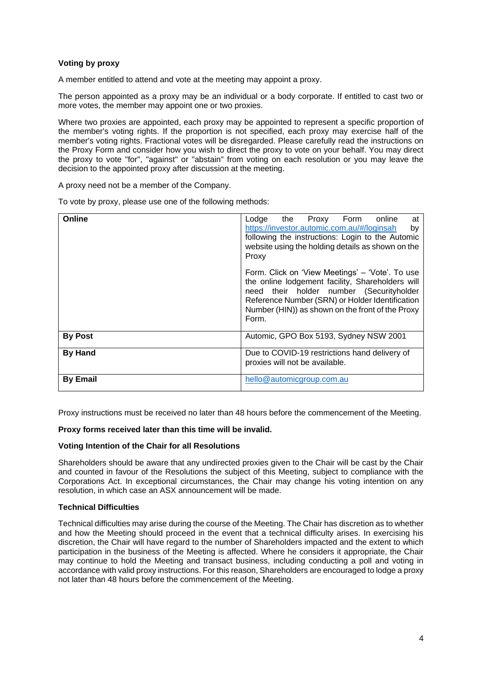# <span id="page-3-0"></span>**Voting by proxy**

A member entitled to attend and vote at the meeting may appoint a proxy.

The person appointed as a proxy may be an individual or a body corporate. If entitled to cast two or more votes, the member may appoint one or two proxies.

Where two proxies are appointed, each proxy may be appointed to represent a specific proportion of the member's voting rights. If the proportion is not specified, each proxy may exercise half of the member's voting rights. Fractional votes will be disregarded. Please carefully read the instructions on the Proxy Form and consider how you wish to direct the proxy to vote on your behalf. You may direct the proxy to vote "for", "against" or "abstain" from voting on each resolution or you may leave the decision to the appointed proxy after discussion at the meeting.

A proxy need not be a member of the Company.

| Online          | Lodge<br>the<br>Proxy Form<br>online<br>at<br>https://investor.automic.com.au/#/loginsah<br>by<br>following the instructions: Login to the Automic<br>website using the holding details as shown on the<br>Proxy                                                |
|-----------------|-----------------------------------------------------------------------------------------------------------------------------------------------------------------------------------------------------------------------------------------------------------------|
|                 | Form. Click on 'View Meetings' – 'Vote'. To use<br>the online lodgement facility, Shareholders will<br>need their holder number (Securityholder<br>Reference Number (SRN) or Holder Identification<br>Number (HIN)) as shown on the front of the Proxy<br>Form. |
| <b>By Post</b>  | Automic, GPO Box 5193, Sydney NSW 2001                                                                                                                                                                                                                          |
| <b>By Hand</b>  | Due to COVID-19 restrictions hand delivery of<br>proxies will not be available.                                                                                                                                                                                 |
| <b>By Email</b> | hello@automicgroup.com.au                                                                                                                                                                                                                                       |

To vote by proxy, please use one of the following methods:

Proxy instructions must be received no later than 48 hours before the commencement of the Meeting.

#### **Proxy forms received later than this time will be invalid.**

#### **Voting Intention of the Chair for all Resolutions**

Shareholders should be aware that any undirected proxies given to the Chair will be cast by the Chair and counted in favour of the Resolutions the subject of this Meeting, subject to compliance with the Corporations Act. In exceptional circumstances, the Chair may change his voting intention on any resolution, in which case an ASX announcement will be made.

# **Technical Difficulties**

Technical difficulties may arise during the course of the Meeting. The Chair has discretion as to whether and how the Meeting should proceed in the event that a technical difficulty arises. In exercising his discretion, the Chair will have regard to the number of Shareholders impacted and the extent to which participation in the business of the Meeting is affected. Where he considers it appropriate, the Chair may continue to hold the Meeting and transact business, including conducting a poll and voting in accordance with valid proxy instructions. For this reason, Shareholders are encouraged to lodge a proxy not later than 48 hours before the commencement of the Meeting.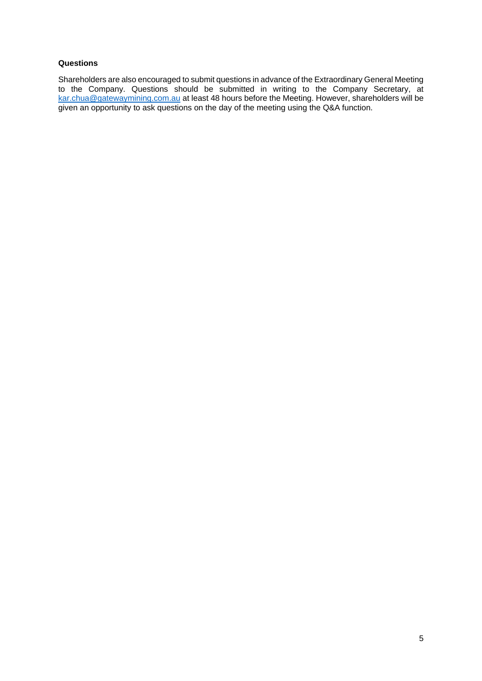# **Questions**

Shareholders are also encouraged to submit questions in advance of the Extraordinary General Meeting to the Company. Questions should be submitted in writing to the Company Secretary, at [kar.chua@gatewaymining.com.au](mailto:kar.chua@gatewaymining.com.au) at least 48 hours before the Meeting. However, shareholders will be given an opportunity to ask questions on the day of the meeting using the Q&A function.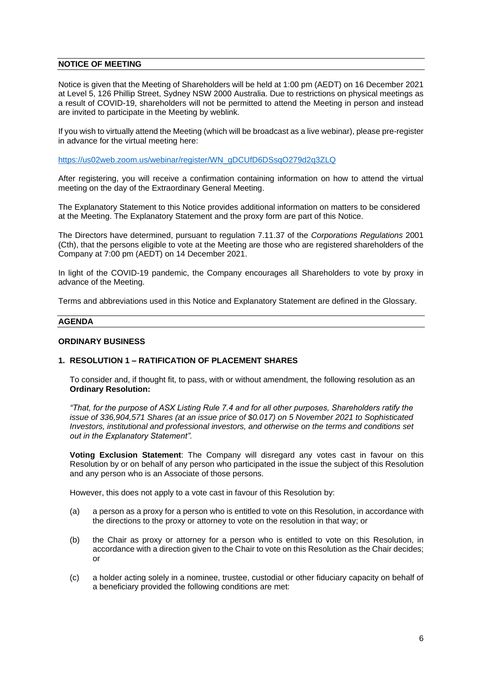#### <span id="page-5-0"></span>**NOTICE OF MEETING**

Notice is given that the Meeting of Shareholders will be held at 1:00 pm (AEDT) on 16 December 2021 at Level 5, 126 Phillip Street, Sydney NSW 2000 Australia. Due to restrictions on physical meetings as a result of COVID-19, shareholders will not be permitted to attend the Meeting in person and instead are invited to participate in the Meeting by weblink.

If you wish to virtually attend the Meeting (which will be broadcast as a live webinar), please pre-register in advance for the virtual meeting here:

[https://us02web.zoom.us/webinar/register/WN\\_gDCUfD6DSsqO279d2q3ZLQ](https://us02web.zoom.us/webinar/register/WN_gDCUfD6DSsqO279d2q3ZLQ)

After registering, you will receive a confirmation containing information on how to attend the virtual meeting on the day of the Extraordinary General Meeting.

The Explanatory Statement to this Notice provides additional information on matters to be considered at the Meeting. The Explanatory Statement and the proxy form are part of this Notice.

The Directors have determined, pursuant to regulation 7.11.37 of the *Corporations Regulations* 2001 (Cth), that the persons eligible to vote at the Meeting are those who are registered shareholders of the Company at 7:00 pm (AEDT) on 14 December 2021.

In light of the COVID-19 pandemic, the Company encourages all Shareholders to vote by proxy in advance of the Meeting.

Terms and abbreviations used in this Notice and Explanatory Statement are defined in the Glossary.

#### **AGENDA**

#### <span id="page-5-1"></span>**ORDINARY BUSINESS**

# <span id="page-5-2"></span>**1. RESOLUTION 1 – RATIFICATION OF PLACEMENT SHARES**

To consider and, if thought fit, to pass, with or without amendment, the following resolution as an **Ordinary Resolution:**

*"That, for the purpose of ASX Listing Rule 7.4 and for all other purposes, Shareholders ratify the issue of 336,904,571 Shares (at an issue price of \$0.017) on 5 November 2021 to Sophisticated Investors, institutional and professional investors, and otherwise on the terms and conditions set out in the Explanatory Statement".*

**Voting Exclusion Statement**: The Company will disregard any votes cast in favour on this Resolution by or on behalf of any person who participated in the issue the subject of this Resolution and any person who is an Associate of those persons.

However, this does not apply to a vote cast in favour of this Resolution by:

- (a) a person as a proxy for a person who is entitled to vote on this Resolution, in accordance with the directions to the proxy or attorney to vote on the resolution in that way; or
- (b) the Chair as proxy or attorney for a person who is entitled to vote on this Resolution, in accordance with a direction given to the Chair to vote on this Resolution as the Chair decides; or
- (c) a holder acting solely in a nominee, trustee, custodial or other fiduciary capacity on behalf of a beneficiary provided the following conditions are met: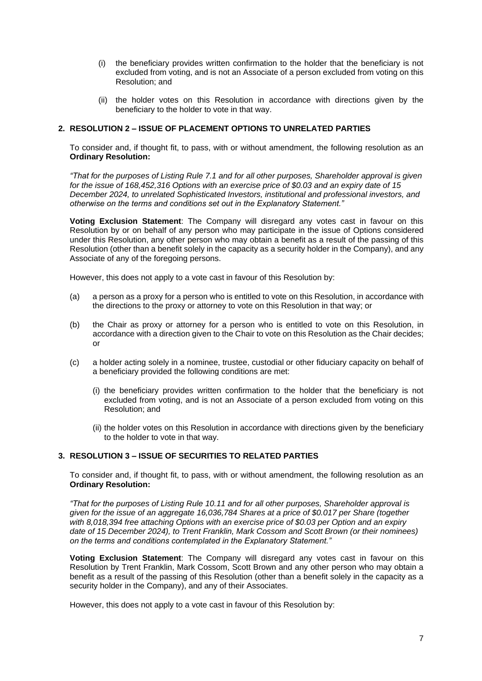- (i) the beneficiary provides written confirmation to the holder that the beneficiary is not excluded from voting, and is not an Associate of a person excluded from voting on this Resolution; and
- (ii) the holder votes on this Resolution in accordance with directions given by the beneficiary to the holder to vote in that way.

# <span id="page-6-0"></span>**2. RESOLUTION 2 – ISSUE OF PLACEMENT OPTIONS TO UNRELATED PARTIES**

To consider and, if thought fit, to pass, with or without amendment, the following resolution as an **Ordinary Resolution:**

*"That for the purposes of Listing Rule 7.1 and for all other purposes, Shareholder approval is given for the issue of 168,452,316 Options with an exercise price of \$0.03 and an expiry date of 15 December 2024, to unrelated Sophisticated Investors, institutional and professional investors, and otherwise on the terms and conditions set out in the Explanatory Statement."* 

**Voting Exclusion Statement**: The Company will disregard any votes cast in favour on this Resolution by or on behalf of any person who may participate in the issue of Options considered under this Resolution, any other person who may obtain a benefit as a result of the passing of this Resolution (other than a benefit solely in the capacity as a security holder in the Company), and any Associate of any of the foregoing persons.

However, this does not apply to a vote cast in favour of this Resolution by:

- (a) a person as a proxy for a person who is entitled to vote on this Resolution, in accordance with the directions to the proxy or attorney to vote on this Resolution in that way; or
- (b) the Chair as proxy or attorney for a person who is entitled to vote on this Resolution, in accordance with a direction given to the Chair to vote on this Resolution as the Chair decides; or
- (c) a holder acting solely in a nominee, trustee, custodial or other fiduciary capacity on behalf of a beneficiary provided the following conditions are met:
	- (i) the beneficiary provides written confirmation to the holder that the beneficiary is not excluded from voting, and is not an Associate of a person excluded from voting on this Resolution; and
	- (ii) the holder votes on this Resolution in accordance with directions given by the beneficiary to the holder to vote in that way.

# <span id="page-6-1"></span>**3. RESOLUTION 3 – ISSUE OF SECURITIES TO RELATED PARTIES**

To consider and, if thought fit, to pass, with or without amendment, the following resolution as an **Ordinary Resolution:**

*"That for the purposes of Listing Rule 10.11 and for all other purposes, Shareholder approval is given for the issue of an aggregate 16,036,784 Shares at a price of \$0.017 per Share (together with 8,018,394 free attaching Options with an exercise price of \$0.03 per Option and an expiry date of 15 December 2024), to Trent Franklin, Mark Cossom and Scott Brown (or their nominees) on the terms and conditions contemplated in the Explanatory Statement."* 

**Voting Exclusion Statement**: The Company will disregard any votes cast in favour on this Resolution by Trent Franklin, Mark Cossom, Scott Brown and any other person who may obtain a benefit as a result of the passing of this Resolution (other than a benefit solely in the capacity as a security holder in the Company), and any of their Associates.

However, this does not apply to a vote cast in favour of this Resolution by: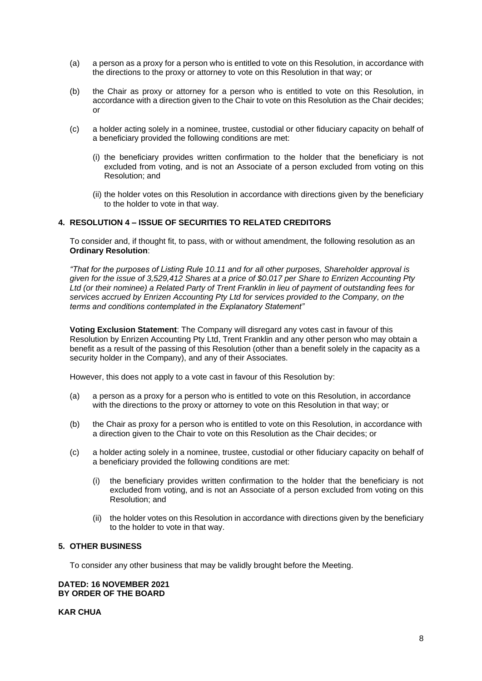- (a) a person as a proxy for a person who is entitled to vote on this Resolution, in accordance with the directions to the proxy or attorney to vote on this Resolution in that way; or
- (b) the Chair as proxy or attorney for a person who is entitled to vote on this Resolution, in accordance with a direction given to the Chair to vote on this Resolution as the Chair decides; or
- (c) a holder acting solely in a nominee, trustee, custodial or other fiduciary capacity on behalf of a beneficiary provided the following conditions are met:
	- (i) the beneficiary provides written confirmation to the holder that the beneficiary is not excluded from voting, and is not an Associate of a person excluded from voting on this Resolution; and
	- (ii) the holder votes on this Resolution in accordance with directions given by the beneficiary to the holder to vote in that way.

# <span id="page-7-0"></span>**4. RESOLUTION 4 – ISSUE OF SECURITIES TO RELATED CREDITORS**

To consider and, if thought fit, to pass, with or without amendment, the following resolution as an **Ordinary Resolution**:

*"That for the purposes of Listing Rule 10.11 and for all other purposes, Shareholder approval is given for the issue of 3,529,412 Shares at a price of \$0.017 per Share to Enrizen Accounting Pty Ltd (or their nominee) a Related Party of Trent Franklin in lieu of payment of outstanding fees for services accrued by Enrizen Accounting Pty Ltd for services provided to the Company, on the terms and conditions contemplated in the Explanatory Statement"*

**Voting Exclusion Statement**: The Company will disregard any votes cast in favour of this Resolution by Enrizen Accounting Pty Ltd, Trent Franklin and any other person who may obtain a benefit as a result of the passing of this Resolution (other than a benefit solely in the capacity as a security holder in the Company), and any of their Associates.

However, this does not apply to a vote cast in favour of this Resolution by:

- (a) a person as a proxy for a person who is entitled to vote on this Resolution, in accordance with the directions to the proxy or attorney to vote on this Resolution in that way; or
- (b) the Chair as proxy for a person who is entitled to vote on this Resolution, in accordance with a direction given to the Chair to vote on this Resolution as the Chair decides; or
- (c) a holder acting solely in a nominee, trustee, custodial or other fiduciary capacity on behalf of a beneficiary provided the following conditions are met:
	- (i) the beneficiary provides written confirmation to the holder that the beneficiary is not excluded from voting, and is not an Associate of a person excluded from voting on this Resolution; and
	- (ii) the holder votes on this Resolution in accordance with directions given by the beneficiary to the holder to vote in that way.

# <span id="page-7-1"></span>**5. OTHER BUSINESS**

To consider any other business that may be validly brought before the Meeting.

## **DATED: 16 NOVEMBER 2021 BY ORDER OF THE BOARD**

**KAR CHUA**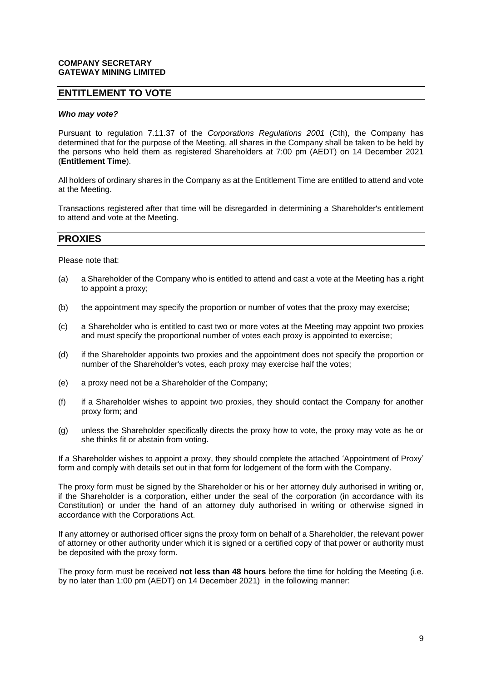## **COMPANY SECRETARY GATEWAY MINING LIMITED**

# **ENTITLEMENT TO VOTE**

#### *Who may vote?*

Pursuant to regulation 7.11.37 of the *Corporations Regulations 2001* (Cth), the Company has determined that for the purpose of the Meeting, all shares in the Company shall be taken to be held by the persons who held them as registered Shareholders at 7:00 pm (AEDT) on 14 December 2021 (**Entitlement Time**).

All holders of ordinary shares in the Company as at the Entitlement Time are entitled to attend and vote at the Meeting.

Transactions registered after that time will be disregarded in determining a Shareholder's entitlement to attend and vote at the Meeting.

# **PROXIES**

Please note that:

- (a) a Shareholder of the Company who is entitled to attend and cast a vote at the Meeting has a right to appoint a proxy;
- (b) the appointment may specify the proportion or number of votes that the proxy may exercise;
- (c) a Shareholder who is entitled to cast two or more votes at the Meeting may appoint two proxies and must specify the proportional number of votes each proxy is appointed to exercise;
- (d) if the Shareholder appoints two proxies and the appointment does not specify the proportion or number of the Shareholder's votes, each proxy may exercise half the votes;
- (e) a proxy need not be a Shareholder of the Company;
- (f) if a Shareholder wishes to appoint two proxies, they should contact the Company for another proxy form; and
- (g) unless the Shareholder specifically directs the proxy how to vote, the proxy may vote as he or she thinks fit or abstain from voting.

If a Shareholder wishes to appoint a proxy, they should complete the attached 'Appointment of Proxy' form and comply with details set out in that form for lodgement of the form with the Company.

The proxy form must be signed by the Shareholder or his or her attorney duly authorised in writing or, if the Shareholder is a corporation, either under the seal of the corporation (in accordance with its Constitution) or under the hand of an attorney duly authorised in writing or otherwise signed in accordance with the Corporations Act.

If any attorney or authorised officer signs the proxy form on behalf of a Shareholder, the relevant power of attorney or other authority under which it is signed or a certified copy of that power or authority must be deposited with the proxy form.

The proxy form must be received **not less than 48 hours** before the time for holding the Meeting (i.e. by no later than 1:00 pm (AEDT) on 14 December 2021) in the following manner: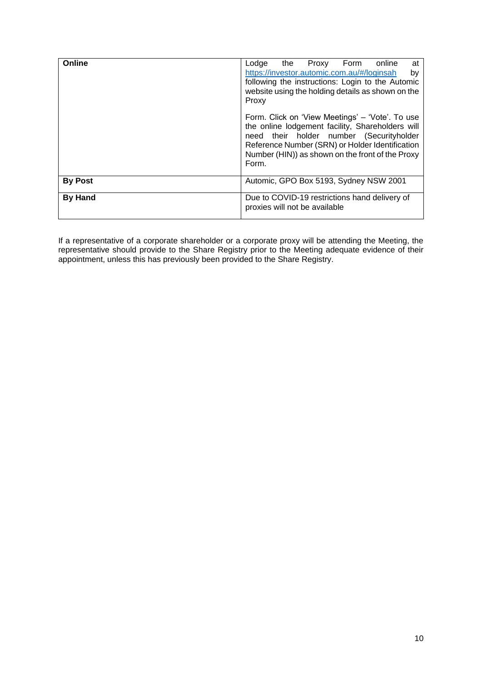| Online         | Lodge<br>the Proxy Form<br>at<br>online<br>https://investor.automic.com.au/#/loginsah<br>by<br>following the instructions: Login to the Automic<br>website using the holding details as shown on the<br>Proxy                                                   |
|----------------|-----------------------------------------------------------------------------------------------------------------------------------------------------------------------------------------------------------------------------------------------------------------|
|                | Form. Click on 'View Meetings' – 'Vote'. To use<br>the online lodgement facility, Shareholders will<br>need their holder number (Securityholder<br>Reference Number (SRN) or Holder Identification<br>Number (HIN)) as shown on the front of the Proxy<br>Form. |
| <b>By Post</b> | Automic, GPO Box 5193, Sydney NSW 2001                                                                                                                                                                                                                          |
| <b>By Hand</b> | Due to COVID-19 restrictions hand delivery of<br>proxies will not be available                                                                                                                                                                                  |

If a representative of a corporate shareholder or a corporate proxy will be attending the Meeting, the representative should provide to the Share Registry prior to the Meeting adequate evidence of their appointment, unless this has previously been provided to the Share Registry.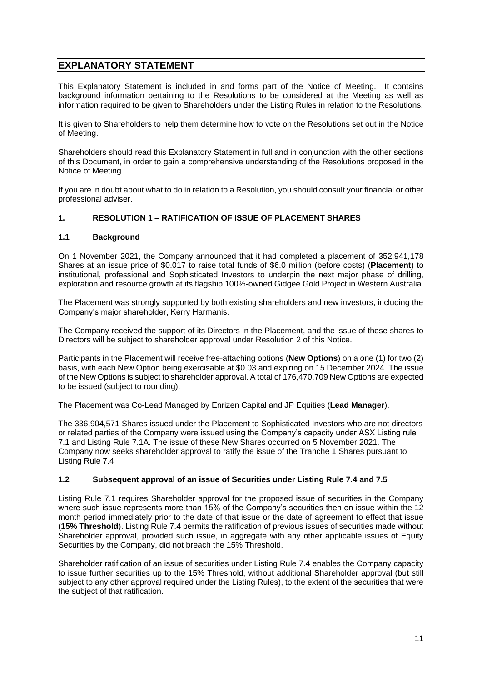# <span id="page-10-0"></span>**EXPLANATORY STATEMENT**

This Explanatory Statement is included in and forms part of the Notice of Meeting. It contains background information pertaining to the Resolutions to be considered at the Meeting as well as information required to be given to Shareholders under the Listing Rules in relation to the Resolutions.

It is given to Shareholders to help them determine how to vote on the Resolutions set out in the Notice of Meeting.

Shareholders should read this Explanatory Statement in full and in conjunction with the other sections of this Document, in order to gain a comprehensive understanding of the Resolutions proposed in the Notice of Meeting.

If you are in doubt about what to do in relation to a Resolution, you should consult your financial or other professional adviser.

# **1. RESOLUTION 1 – RATIFICATION OF ISSUE OF PLACEMENT SHARES**

#### **1.1 Background**

On 1 November 2021, the Company announced that it had completed a placement of 352,941,178 Shares at an issue price of \$0.017 to raise total funds of \$6.0 million (before costs) (**Placement**) to institutional, professional and Sophisticated Investors to underpin the next major phase of drilling, exploration and resource growth at its flagship 100%-owned Gidgee Gold Project in Western Australia.

The Placement was strongly supported by both existing shareholders and new investors, including the Company's major shareholder, Kerry Harmanis.

The Company received the support of its Directors in the Placement, and the issue of these shares to Directors will be subject to shareholder approval under Resolution 2 of this Notice.

Participants in the Placement will receive free-attaching options (**New Options**) on a one (1) for two (2) basis, with each New Option being exercisable at \$0.03 and expiring on 15 December 2024. The issue of the New Options is subject to shareholder approval. A total of 176,470,709 New Options are expected to be issued (subject to rounding).

The Placement was Co-Lead Managed by Enrizen Capital and JP Equities (**Lead Manager**).

The 336,904,571 Shares issued under the Placement to Sophisticated Investors who are not directors or related parties of the Company were issued using the Company's capacity under ASX Listing rule 7.1 and Listing Rule 7.1A. The issue of these New Shares occurred on 5 November 2021. The Company now seeks shareholder approval to ratify the issue of the Tranche 1 Shares pursuant to Listing Rule 7.4

#### **1.2 Subsequent approval of an issue of Securities under Listing Rule 7.4 and 7.5**

Listing Rule 7.1 requires Shareholder approval for the proposed issue of securities in the Company where such issue represents more than 15% of the Company's securities then on issue within the 12 month period immediately prior to the date of that issue or the date of agreement to effect that issue (**15% Threshold**). Listing Rule 7.4 permits the ratification of previous issues of securities made without Shareholder approval, provided such issue, in aggregate with any other applicable issues of Equity Securities by the Company, did not breach the 15% Threshold.

Shareholder ratification of an issue of securities under Listing Rule 7.4 enables the Company capacity to issue further securities up to the 15% Threshold, without additional Shareholder approval (but still subject to any other approval required under the Listing Rules), to the extent of the securities that were the subject of that ratification.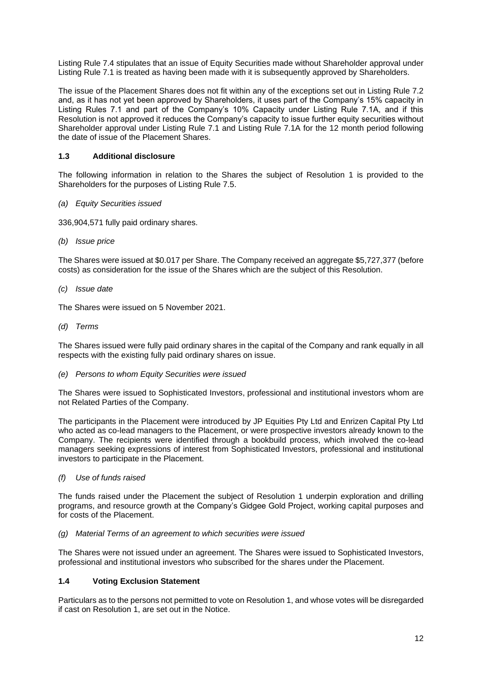Listing Rule 7.4 stipulates that an issue of Equity Securities made without Shareholder approval under Listing Rule 7.1 is treated as having been made with it is subsequently approved by Shareholders.

The issue of the Placement Shares does not fit within any of the exceptions set out in Listing Rule 7.2 and, as it has not yet been approved by Shareholders, it uses part of the Company's 15% capacity in Listing Rules 7.1 and part of the Company's 10% Capacity under Listing Rule 7.1A, and if this Resolution is not approved it reduces the Company's capacity to issue further equity securities without Shareholder approval under Listing Rule 7.1 and Listing Rule 7.1A for the 12 month period following the date of issue of the Placement Shares.

# **1.3 Additional disclosure**

The following information in relation to the Shares the subject of Resolution 1 is provided to the Shareholders for the purposes of Listing Rule 7.5.

*(a) Equity Securities issued*

336,904,571 fully paid ordinary shares.

*(b) Issue price*

The Shares were issued at \$0.017 per Share. The Company received an aggregate \$5,727,377 (before costs) as consideration for the issue of the Shares which are the subject of this Resolution.

*(c) Issue date*

The Shares were issued on 5 November 2021.

*(d) Terms* 

The Shares issued were fully paid ordinary shares in the capital of the Company and rank equally in all respects with the existing fully paid ordinary shares on issue.

*(e) Persons to whom Equity Securities were issued* 

The Shares were issued to Sophisticated Investors, professional and institutional investors whom are not Related Parties of the Company.

The participants in the Placement were introduced by JP Equities Pty Ltd and Enrizen Capital Pty Ltd who acted as co-lead managers to the Placement, or were prospective investors already known to the Company. The recipients were identified through a bookbuild process, which involved the co-lead managers seeking expressions of interest from Sophisticated Investors, professional and institutional investors to participate in the Placement.

*(f) Use of funds raised* 

The funds raised under the Placement the subject of Resolution 1 underpin exploration and drilling programs, and resource growth at the Company's Gidgee Gold Project, working capital purposes and for costs of the Placement.

# *(g) Material Terms of an agreement to which securities were issued*

The Shares were not issued under an agreement. The Shares were issued to Sophisticated Investors, professional and institutional investors who subscribed for the shares under the Placement.

# **1.4 Voting Exclusion Statement**

Particulars as to the persons not permitted to vote on Resolution 1, and whose votes will be disregarded if cast on Resolution 1, are set out in the Notice.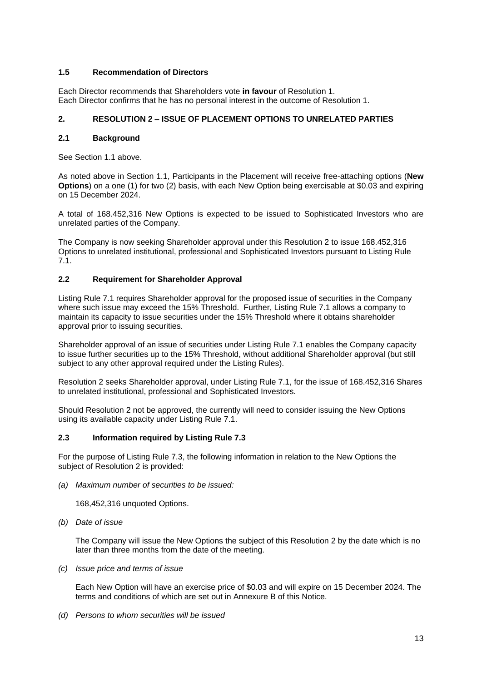# **1.5 Recommendation of Directors**

Each Director recommends that Shareholders vote **in favour** of Resolution 1. Each Director confirms that he has no personal interest in the outcome of Resolution 1.

# **2. RESOLUTION 2 – ISSUE OF PLACEMENT OPTIONS TO UNRELATED PARTIES**

# **2.1 Background**

See Section 1.1 above.

As noted above in Section 1.1, Participants in the Placement will receive free-attaching options (**New Options**) on a one (1) for two (2) basis, with each New Option being exercisable at \$0.03 and expiring on 15 December 2024.

A total of 168.452,316 New Options is expected to be issued to Sophisticated Investors who are unrelated parties of the Company.

The Company is now seeking Shareholder approval under this Resolution 2 to issue 168.452,316 Options to unrelated institutional, professional and Sophisticated Investors pursuant to Listing Rule 7.1.

# **2.2 Requirement for Shareholder Approval**

Listing Rule 7.1 requires Shareholder approval for the proposed issue of securities in the Company where such issue may exceed the 15% Threshold. Further, Listing Rule 7.1 allows a company to maintain its capacity to issue securities under the 15% Threshold where it obtains shareholder approval prior to issuing securities.

Shareholder approval of an issue of securities under Listing Rule 7.1 enables the Company capacity to issue further securities up to the 15% Threshold, without additional Shareholder approval (but still subject to any other approval required under the Listing Rules).

Resolution 2 seeks Shareholder approval, under Listing Rule 7.1, for the issue of 168.452,316 Shares to unrelated institutional, professional and Sophisticated Investors.

Should Resolution 2 not be approved, the currently will need to consider issuing the New Options using its available capacity under Listing Rule 7.1.

# **2.3 Information required by Listing Rule 7.3**

For the purpose of Listing Rule 7.3, the following information in relation to the New Options the subject of Resolution 2 is provided:

*(a) Maximum number of securities to be issued:* 

168,452,316 unquoted Options.

*(b) Date of issue*

The Company will issue the New Options the subject of this Resolution 2 by the date which is no later than three months from the date of the meeting.

*(c) Issue price and terms of issue*

Each New Option will have an exercise price of \$0.03 and will expire on 15 December 2024. The terms and conditions of which are set out in Annexure B of this Notice.

*(d) Persons to whom securities will be issued*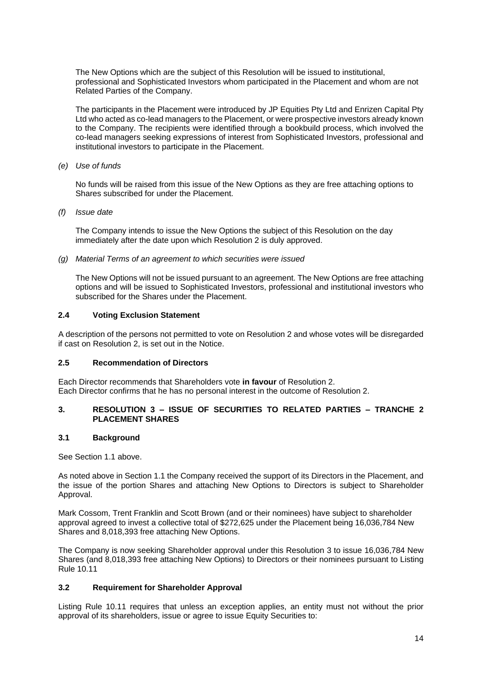The New Options which are the subject of this Resolution will be issued to institutional, professional and Sophisticated Investors whom participated in the Placement and whom are not Related Parties of the Company.

The participants in the Placement were introduced by JP Equities Pty Ltd and Enrizen Capital Pty Ltd who acted as co-lead managers to the Placement, or were prospective investors already known to the Company. The recipients were identified through a bookbuild process, which involved the co-lead managers seeking expressions of interest from Sophisticated Investors, professional and institutional investors to participate in the Placement.

*(e) Use of funds* 

No funds will be raised from this issue of the New Options as they are free attaching options to Shares subscribed for under the Placement.

*(f) Issue date*

The Company intends to issue the New Options the subject of this Resolution on the day immediately after the date upon which Resolution 2 is duly approved.

*(g) Material Terms of an agreement to which securities were issued*

The New Options will not be issued pursuant to an agreement. The New Options are free attaching options and will be issued to Sophisticated Investors, professional and institutional investors who subscribed for the Shares under the Placement.

# **2.4 Voting Exclusion Statement**

A description of the persons not permitted to vote on Resolution 2 and whose votes will be disregarded if cast on Resolution 2, is set out in the Notice.

# **2.5 Recommendation of Directors**

Each Director recommends that Shareholders vote **in favour** of Resolution 2. Each Director confirms that he has no personal interest in the outcome of Resolution 2.

# **3. RESOLUTION 3 – ISSUE OF SECURITIES TO RELATED PARTIES – TRANCHE 2 PLACEMENT SHARES**

#### **3.1 Background**

See Section 1.1 above.

As noted above in Section 1.1 the Company received the support of its Directors in the Placement, and the issue of the portion Shares and attaching New Options to Directors is subject to Shareholder Approval.

Mark Cossom, Trent Franklin and Scott Brown (and or their nominees) have subject to shareholder approval agreed to invest a collective total of \$272,625 under the Placement being 16,036,784 New Shares and 8,018,393 free attaching New Options.

The Company is now seeking Shareholder approval under this Resolution 3 to issue 16,036,784 New Shares (and 8,018,393 free attaching New Options) to Directors or their nominees pursuant to Listing Rule 10.11

# **3.2 Requirement for Shareholder Approval**

Listing Rule 10.11 requires that unless an exception applies, an entity must not without the prior approval of its shareholders, issue or agree to issue Equity Securities to: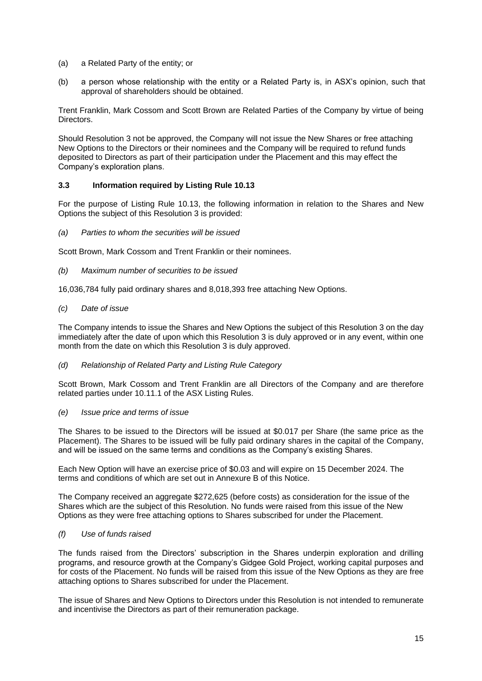- (a) a Related Party of the entity; or
- (b) a person whose relationship with the entity or a Related Party is, in ASX's opinion, such that approval of shareholders should be obtained.

Trent Franklin, Mark Cossom and Scott Brown are Related Parties of the Company by virtue of being Directors.

Should Resolution 3 not be approved, the Company will not issue the New Shares or free attaching New Options to the Directors or their nominees and the Company will be required to refund funds deposited to Directors as part of their participation under the Placement and this may effect the Company's exploration plans.

# **3.3 Information required by Listing Rule 10.13**

For the purpose of Listing Rule 10.13, the following information in relation to the Shares and New Options the subject of this Resolution 3 is provided:

*(a) Parties to whom the securities will be issued*

Scott Brown, Mark Cossom and Trent Franklin or their nominees.

*(b) Maximum number of securities to be issued*

16,036,784 fully paid ordinary shares and 8,018,393 free attaching New Options.

*(c) Date of issue*

The Company intends to issue the Shares and New Options the subject of this Resolution 3 on the day immediately after the date of upon which this Resolution 3 is duly approved or in any event, within one month from the date on which this Resolution 3 is duly approved.

#### *(d) Relationship of Related Party and Listing Rule Category*

Scott Brown, Mark Cossom and Trent Franklin are all Directors of the Company and are therefore related parties under 10.11.1 of the ASX Listing Rules.

#### *(e) Issue price and terms of issue*

The Shares to be issued to the Directors will be issued at \$0.017 per Share (the same price as the Placement). The Shares to be issued will be fully paid ordinary shares in the capital of the Company, and will be issued on the same terms and conditions as the Company's existing Shares.

Each New Option will have an exercise price of \$0.03 and will expire on 15 December 2024. The terms and conditions of which are set out in Annexure B of this Notice.

The Company received an aggregate \$272,625 (before costs) as consideration for the issue of the Shares which are the subject of this Resolution. No funds were raised from this issue of the New Options as they were free attaching options to Shares subscribed for under the Placement.

# *(f) Use of funds raised*

The funds raised from the Directors' subscription in the Shares underpin exploration and drilling programs, and resource growth at the Company's Gidgee Gold Project, working capital purposes and for costs of the Placement. No funds will be raised from this issue of the New Options as they are free attaching options to Shares subscribed for under the Placement.

The issue of Shares and New Options to Directors under this Resolution is not intended to remunerate and incentivise the Directors as part of their remuneration package.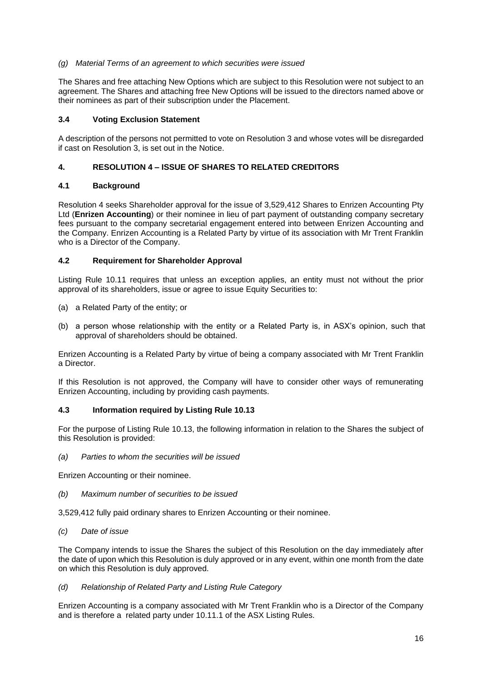# *(g) Material Terms of an agreement to which securities were issued*

The Shares and free attaching New Options which are subject to this Resolution were not subject to an agreement. The Shares and attaching free New Options will be issued to the directors named above or their nominees as part of their subscription under the Placement.

# **3.4 Voting Exclusion Statement**

A description of the persons not permitted to vote on Resolution 3 and whose votes will be disregarded if cast on Resolution 3, is set out in the Notice.

# **4. RESOLUTION 4 – ISSUE OF SHARES TO RELATED CREDITORS**

# **4.1 Background**

Resolution 4 seeks Shareholder approval for the issue of 3,529,412 Shares to Enrizen Accounting Pty Ltd (**Enrizen Accounting**) or their nominee in lieu of part payment of outstanding company secretary fees pursuant to the company secretarial engagement entered into between Enrizen Accounting and the Company. Enrizen Accounting is a Related Party by virtue of its association with Mr Trent Franklin who is a Director of the Company.

# **4.2 Requirement for Shareholder Approval**

Listing Rule 10.11 requires that unless an exception applies, an entity must not without the prior approval of its shareholders, issue or agree to issue Equity Securities to:

- (a) a Related Party of the entity; or
- (b) a person whose relationship with the entity or a Related Party is, in ASX's opinion, such that approval of shareholders should be obtained.

Enrizen Accounting is a Related Party by virtue of being a company associated with Mr Trent Franklin a Director.

If this Resolution is not approved, the Company will have to consider other ways of remunerating Enrizen Accounting, including by providing cash payments.

#### **4.3 Information required by Listing Rule 10.13**

For the purpose of Listing Rule 10.13, the following information in relation to the Shares the subject of this Resolution is provided:

*(a) Parties to whom the securities will be issued*

Enrizen Accounting or their nominee.

*(b) Maximum number of securities to be issued*

3,529,412 fully paid ordinary shares to Enrizen Accounting or their nominee.

*(c) Date of issue*

The Company intends to issue the Shares the subject of this Resolution on the day immediately after the date of upon which this Resolution is duly approved or in any event, within one month from the date on which this Resolution is duly approved.

*(d) Relationship of Related Party and Listing Rule Category*

Enrizen Accounting is a company associated with Mr Trent Franklin who is a Director of the Company and is therefore a related party under 10.11.1 of the ASX Listing Rules.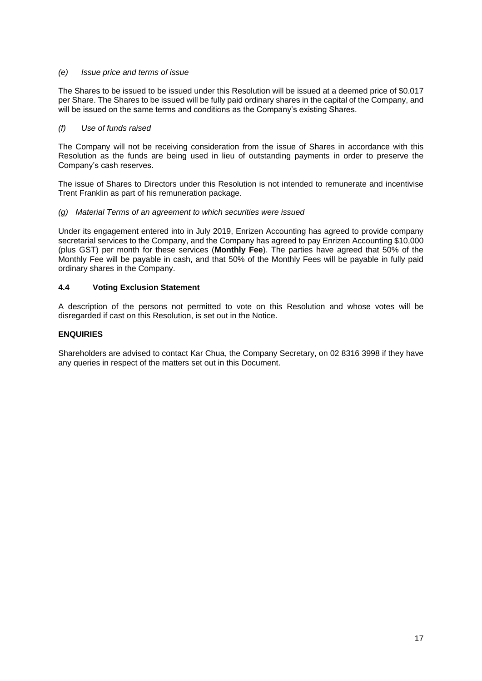## *(e) Issue price and terms of issue*

The Shares to be issued to be issued under this Resolution will be issued at a deemed price of \$0.017 per Share. The Shares to be issued will be fully paid ordinary shares in the capital of the Company, and will be issued on the same terms and conditions as the Company's existing Shares.

# *(f) Use of funds raised*

The Company will not be receiving consideration from the issue of Shares in accordance with this Resolution as the funds are being used in lieu of outstanding payments in order to preserve the Company's cash reserves.

The issue of Shares to Directors under this Resolution is not intended to remunerate and incentivise Trent Franklin as part of his remuneration package.

# *(g) Material Terms of an agreement to which securities were issued*

Under its engagement entered into in July 2019, Enrizen Accounting has agreed to provide company secretarial services to the Company, and the Company has agreed to pay Enrizen Accounting \$10,000 (plus GST) per month for these services (**Monthly Fee**). The parties have agreed that 50% of the Monthly Fee will be payable in cash, and that 50% of the Monthly Fees will be payable in fully paid ordinary shares in the Company.

# **4.4 Voting Exclusion Statement**

A description of the persons not permitted to vote on this Resolution and whose votes will be disregarded if cast on this Resolution, is set out in the Notice.

# <span id="page-16-0"></span>**ENQUIRIES**

Shareholders are advised to contact Kar Chua, the Company Secretary, on 02 8316 3998 if they have any queries in respect of the matters set out in this Document.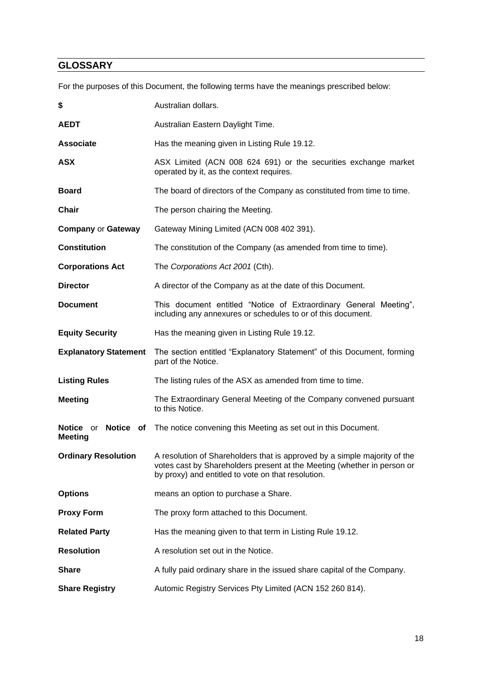# <span id="page-17-0"></span>**GLOSSARY**

For the purposes of this Document, the following terms have the meanings prescribed below:

| \$                                    | Australian dollars.                                                                                                                                                                                        |
|---------------------------------------|------------------------------------------------------------------------------------------------------------------------------------------------------------------------------------------------------------|
| <b>AEDT</b>                           | Australian Eastern Daylight Time.                                                                                                                                                                          |
| <b>Associate</b>                      | Has the meaning given in Listing Rule 19.12.                                                                                                                                                               |
| <b>ASX</b>                            | ASX Limited (ACN 008 624 691) or the securities exchange market<br>operated by it, as the context requires.                                                                                                |
| <b>Board</b>                          | The board of directors of the Company as constituted from time to time.                                                                                                                                    |
| <b>Chair</b>                          | The person chairing the Meeting.                                                                                                                                                                           |
| <b>Company or Gateway</b>             | Gateway Mining Limited (ACN 008 402 391).                                                                                                                                                                  |
| <b>Constitution</b>                   | The constitution of the Company (as amended from time to time).                                                                                                                                            |
| <b>Corporations Act</b>               | The Corporations Act 2001 (Cth).                                                                                                                                                                           |
| <b>Director</b>                       | A director of the Company as at the date of this Document.                                                                                                                                                 |
| <b>Document</b>                       | This document entitled "Notice of Extraordinary General Meeting",<br>including any annexures or schedules to or of this document.                                                                          |
| <b>Equity Security</b>                | Has the meaning given in Listing Rule 19.12.                                                                                                                                                               |
| <b>Explanatory Statement</b>          | The section entitled "Explanatory Statement" of this Document, forming<br>part of the Notice.                                                                                                              |
| <b>Listing Rules</b>                  | The listing rules of the ASX as amended from time to time.                                                                                                                                                 |
| <b>Meeting</b>                        | The Extraordinary General Meeting of the Company convened pursuant<br>to this Notice.                                                                                                                      |
| Notice or Notice of<br><b>Meeting</b> | The notice convening this Meeting as set out in this Document.                                                                                                                                             |
| <b>Ordinary Resolution</b>            | A resolution of Shareholders that is approved by a simple majority of the<br>votes cast by Shareholders present at the Meeting (whether in person or<br>by proxy) and entitled to vote on that resolution. |
| <b>Options</b>                        | means an option to purchase a Share.                                                                                                                                                                       |
| <b>Proxy Form</b>                     | The proxy form attached to this Document.                                                                                                                                                                  |
| <b>Related Party</b>                  | Has the meaning given to that term in Listing Rule 19.12.                                                                                                                                                  |
| <b>Resolution</b>                     | A resolution set out in the Notice.                                                                                                                                                                        |
|                                       |                                                                                                                                                                                                            |
| <b>Share</b>                          | A fully paid ordinary share in the issued share capital of the Company.                                                                                                                                    |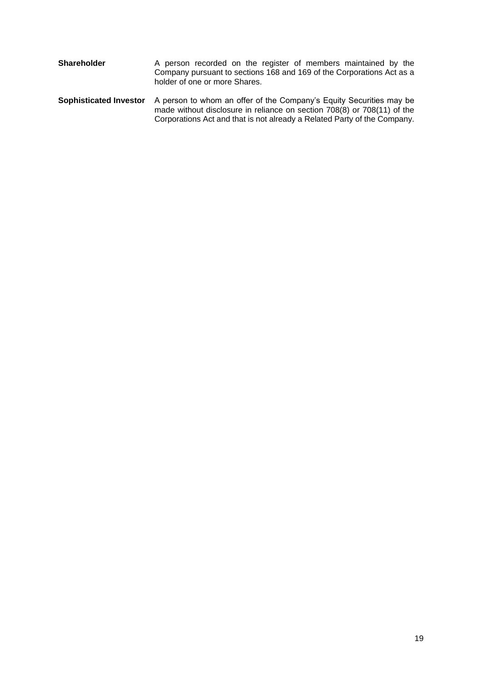| Shareholder                   | A person recorded on the register of members maintained by the<br>Company pursuant to sections 168 and 169 of the Corporations Act as a<br>holder of one or more Shares.                                                   |
|-------------------------------|----------------------------------------------------------------------------------------------------------------------------------------------------------------------------------------------------------------------------|
| <b>Sophisticated Investor</b> | A person to whom an offer of the Company's Equity Securities may be<br>made without disclosure in reliance on section 708(8) or 708(11) of the<br>Corporations Act and that is not already a Related Party of the Company. |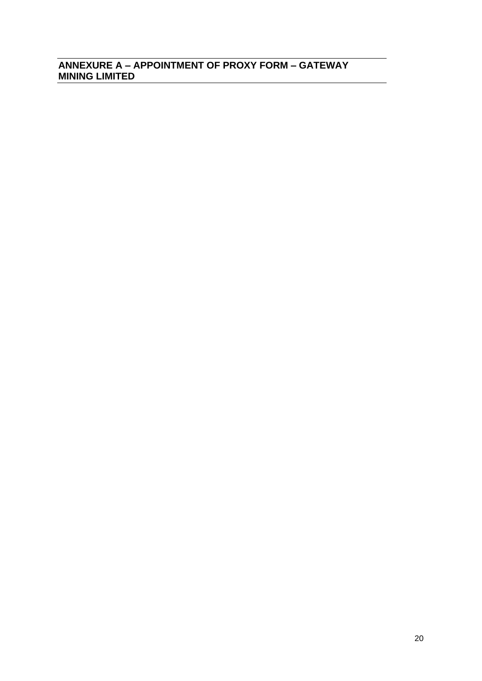# <span id="page-19-0"></span>**ANNEXURE A – APPOINTMENT OF PROXY FORM – GATEWAY MINING LIMITED**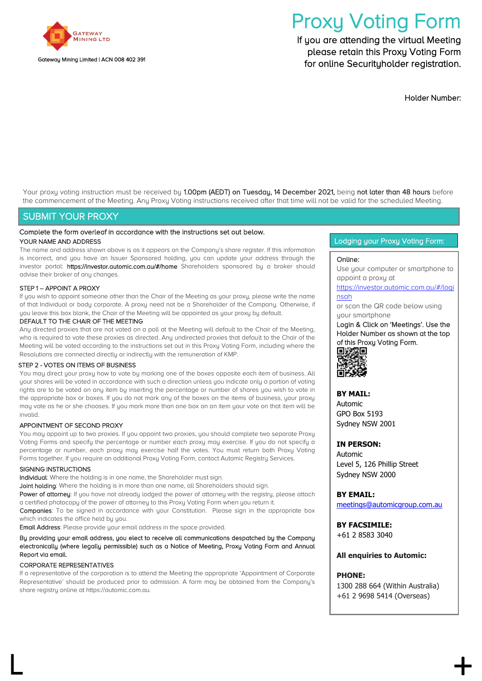

# Proxy Voting Form

If you are attending the virtual Meeting please retain this Proxy Voting Form for online Securityholder registration.

Holder Number:

Your proxy voting instruction must be received by 1.00pm (AEDT) on Tuesday, 14 December 2021, being not later than 48 hours before the commencement of the Meeting. Any Proxy Voting instructions received after that time will not be valid for the scheduled Meeting.

# SUBMIT YOUR PROXY

#### Complete the form overleaf in accordance with the instructions set out below. YOUR NAME AND ADDRESS

The name and address shown above is as it appears on the Company's share register. If this information is incorrect, and you have an Issuer Sponsored holding, you can update your address through the investor portal: https://investor.automic.com.au/#/home Shareholders sponsored by a broker should advise their broker of any changes.

#### STEP 1 – APPOINT A PROXY

If you wish to appoint someone other than the Chair of the Meeting as your proxy, please write the name of that Individual or body corporate. A proxy need not be a Shareholder of the Company. Otherwise, if you leave this box blank, the Chair of the Meeting will be appointed as your proxy by default.

#### DEFAULT TO THE CHAIR OF THE MEETING

Any directed proxies that are not voted on a poll at the Meeting will default to the Chair of the Meeting, who is required to vote these proxies as directed. Any undirected proxies that default to the Chair of the Meeting will be voted according to the instructions set out in this Proxy Voting Form, including where the Resolutions are connected directly or indirectly with the remuneration of KMP.

#### STEP 2 - VOTES ON ITEMS OF BUSINESS

You may direct your proxy how to vote by marking one of the boxes opposite each item of business. All your shares will be voted in accordance with such a direction unless you indicate only a portion of voting rights are to be voted on any item by inserting the percentage or number of shares you wish to vote in the appropriate box or boxes. If you do not mark any of the boxes on the items of business, your proxy may vote as he or she chooses. If you mark more than one box on an item your vote on that item will be invalid.

#### APPOINTMENT OF SECOND PROXY

You may appoint up to two proxies. If you appoint two proxies, you should complete two separate Proxy Voting Forms and specify the percentage or number each proxy may exercise. If you do not specify a percentage or number, each proxy may exercise half the votes. You must return both Proxy Voting Forms together. If you require an additional Proxy Voting Form, contact Automic Registry Services.

#### SIGNING INSTRUCTIONS

Individual: Where the holding is in one name, the Shareholder must sign.

Joint holding: Where the holding is in more than one name, all Shareholders should sign.

Power of attorney: If you have not already lodged the power of attorney with the registry, please attach a certified photocopy of the power of attorney to this Proxy Voting Form when you return it.

Companies: To be signed in accordance with your Constitution. Please sign in the appropriate box which indicates the office held by you.

Email Address: Please provide your email address in the space provided.

#### By providing your email address, you elect to receive all communications despatched by the Company electronically (where legally permissible) such as a Notice of Meeting, Proxy Voting Form and Annual Report via email.

#### CORPORATE REPRESENTATIVES

If a representative of the corporation is to attend the Meeting the appropriate 'Appointment of Corporate Representative' should be produced prior to admission. A form may be obtained from the Company's share registry online at https://automic.com.au.

 $\mathsf L$  +  $\mathsf +$ 

Lodging your Proxy Voting Form:

#### Online:

Use your computer or smartphone to appoint a proxy at

[https://investor.automic.com.au/#/logi](https://investor.automic.com.au/#/loginsah) [nsah](https://investor.automic.com.au/#/loginsah)

or scan the QR code below using your smartphone

Login & Click on 'Meetings'. Use the Holder Number as shown at the top of this Proxy Voting Form. 回波湖回



#### **BY MAIL:**

Automic GPO Box 5193 Sydney NSW 2001

#### **IN PERSON:**

Automic Level 5, 126 Phillip Street Sydney NSW 2000

**BY EMAIL:**

[meetings@automicgroup.com.au](mailto:meetings@automicgroup.com.au)

**BY FACSIMILE:** +61 2 8583 3040

#### **All enquiries to Automic:**

#### **PHONE:**

1300 288 664 (Within Australia) +61 2 9698 5414 (Overseas)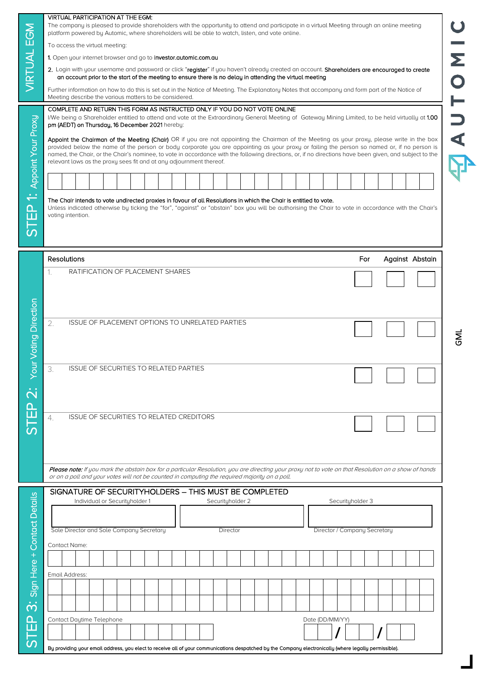|                                                                                      | <b>VIRTUAL PARTICIPATION AT THE EGM:</b>                                                                                                                                                                                                                                                                                                                                                                                                                                                                                     |  |  |  |  |  |  |
|--------------------------------------------------------------------------------------|------------------------------------------------------------------------------------------------------------------------------------------------------------------------------------------------------------------------------------------------------------------------------------------------------------------------------------------------------------------------------------------------------------------------------------------------------------------------------------------------------------------------------|--|--|--|--|--|--|
|                                                                                      | The company is pleased to provide shareholders with the opportunity to attend and participate in a virtual Meeting through an online meeting<br>platform powered by Automic, where shareholders will be able to watch, listen, and vote online.                                                                                                                                                                                                                                                                              |  |  |  |  |  |  |
|                                                                                      | To access the virtual meeting:                                                                                                                                                                                                                                                                                                                                                                                                                                                                                               |  |  |  |  |  |  |
|                                                                                      | 1. Open your internet browser and go to investor.automic.com.au                                                                                                                                                                                                                                                                                                                                                                                                                                                              |  |  |  |  |  |  |
|                                                                                      | 2. Login with your username and password or click "register" if you haven't already created an account. Shareholders are encouraged to create<br>an account prior to the start of the meeting to ensure there is no delay in attending the virtual meeting                                                                                                                                                                                                                                                                   |  |  |  |  |  |  |
|                                                                                      | Further information on how to do this is set out in the Notice of Meeting. The Explanatory Notes that accompany and form part of the Notice of<br>Meeting describe the various matters to be considered.                                                                                                                                                                                                                                                                                                                     |  |  |  |  |  |  |
|                                                                                      | COMPLETE AND RETURN THIS FORM AS INSTRUCTED ONLY IF YOU DO NOT VOTE ONLINE                                                                                                                                                                                                                                                                                                                                                                                                                                                   |  |  |  |  |  |  |
|                                                                                      | I/We being a Shareholder entitled to attend and vote at the Extraordinary General Meeting of Gateway Mining Limited, to be held virtually at 1.00<br>pm (AEDT) on Thursday, 16 December 2021 hereby:                                                                                                                                                                                                                                                                                                                         |  |  |  |  |  |  |
|                                                                                      | Appoint the Chairman of the Meeting (Chair) OR if you are not appointing the Chairman of the Meeting as your proxy, please write in the box<br>provided below the name of the person or body corporate you are appointing as your proxy or failing the person so named or, if no person is<br>named, the Chair, or the Chair's nominee, to vote in accordance with the following directions, or, if no directions have been given, and subject to the<br>relevant laws as the proxy sees fit and at any adjournment thereof. |  |  |  |  |  |  |
|                                                                                      |                                                                                                                                                                                                                                                                                                                                                                                                                                                                                                                              |  |  |  |  |  |  |
|                                                                                      |                                                                                                                                                                                                                                                                                                                                                                                                                                                                                                                              |  |  |  |  |  |  |
|                                                                                      | The Chair intends to vote undirected proxies in favour of all Resolutions in which the Chair is entitled to vote.<br>Unless indicated otherwise by ticking the "for", "against" or "abstain" box you will be authorising the Chair to vote in accordance with the Chair's<br>voting intention.                                                                                                                                                                                                                               |  |  |  |  |  |  |
|                                                                                      | <b>Resolutions</b><br>For<br>Against Abstain                                                                                                                                                                                                                                                                                                                                                                                                                                                                                 |  |  |  |  |  |  |
|                                                                                      | RATIFICATION OF PLACEMENT SHARES<br>1.                                                                                                                                                                                                                                                                                                                                                                                                                                                                                       |  |  |  |  |  |  |
|                                                                                      |                                                                                                                                                                                                                                                                                                                                                                                                                                                                                                                              |  |  |  |  |  |  |
|                                                                                      | 2.<br>ISSUE OF PLACEMENT OPTIONS TO UNRELATED PARTIES                                                                                                                                                                                                                                                                                                                                                                                                                                                                        |  |  |  |  |  |  |
|                                                                                      | <b>ISSUE OF SECURITIES TO RELATED PARTIES</b><br>3.                                                                                                                                                                                                                                                                                                                                                                                                                                                                          |  |  |  |  |  |  |
|                                                                                      | <b>ISSUE OF SECURITIES TO RELATED CREDITORS</b><br>4.                                                                                                                                                                                                                                                                                                                                                                                                                                                                        |  |  |  |  |  |  |
|                                                                                      |                                                                                                                                                                                                                                                                                                                                                                                                                                                                                                                              |  |  |  |  |  |  |
|                                                                                      |                                                                                                                                                                                                                                                                                                                                                                                                                                                                                                                              |  |  |  |  |  |  |
|                                                                                      |                                                                                                                                                                                                                                                                                                                                                                                                                                                                                                                              |  |  |  |  |  |  |
|                                                                                      | <b>Please note:</b> If you mark the abstain box for a particular Resolution, you are directing your proxy not to vote on that Resolution on a show of hands<br>or on a poll and your votes will not be counted in computing the required majority on a poll.                                                                                                                                                                                                                                                                 |  |  |  |  |  |  |
|                                                                                      | SIGNATURE OF SECURITYHOLDERS - THIS MUST BE COMPLETED                                                                                                                                                                                                                                                                                                                                                                                                                                                                        |  |  |  |  |  |  |
|                                                                                      | Individual or Securityholder 1<br>Securityholder 2<br>Securityholder 3                                                                                                                                                                                                                                                                                                                                                                                                                                                       |  |  |  |  |  |  |
|                                                                                      |                                                                                                                                                                                                                                                                                                                                                                                                                                                                                                                              |  |  |  |  |  |  |
| Sole Director and Sole Company Secretary<br>Director / Company Secretary<br>Director |                                                                                                                                                                                                                                                                                                                                                                                                                                                                                                                              |  |  |  |  |  |  |
|                                                                                      | Contact Name:                                                                                                                                                                                                                                                                                                                                                                                                                                                                                                                |  |  |  |  |  |  |
|                                                                                      |                                                                                                                                                                                                                                                                                                                                                                                                                                                                                                                              |  |  |  |  |  |  |
|                                                                                      |                                                                                                                                                                                                                                                                                                                                                                                                                                                                                                                              |  |  |  |  |  |  |
|                                                                                      | Email Address:                                                                                                                                                                                                                                                                                                                                                                                                                                                                                                               |  |  |  |  |  |  |
|                                                                                      |                                                                                                                                                                                                                                                                                                                                                                                                                                                                                                                              |  |  |  |  |  |  |
|                                                                                      |                                                                                                                                                                                                                                                                                                                                                                                                                                                                                                                              |  |  |  |  |  |  |
|                                                                                      | Contact Daytime Telephone<br>Date (DD/MM/YY)                                                                                                                                                                                                                                                                                                                                                                                                                                                                                 |  |  |  |  |  |  |
|                                                                                      |                                                                                                                                                                                                                                                                                                                                                                                                                                                                                                                              |  |  |  |  |  |  |
|                                                                                      |                                                                                                                                                                                                                                                                                                                                                                                                                                                                                                                              |  |  |  |  |  |  |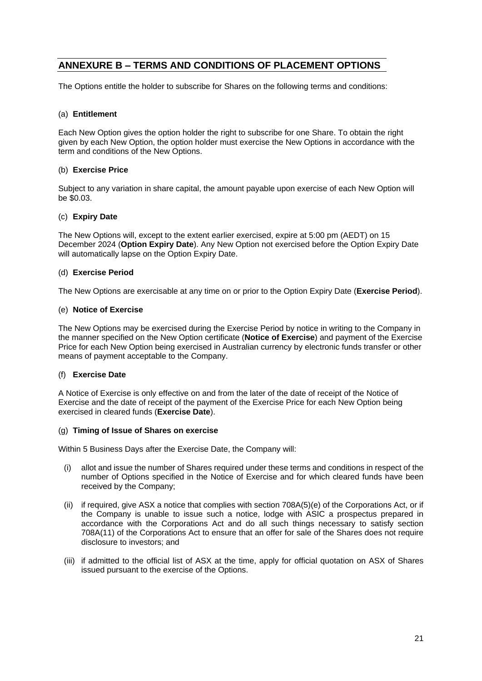# **ANNEXURE B – TERMS AND CONDITIONS OF PLACEMENT OPTIONS**

The Options entitle the holder to subscribe for Shares on the following terms and conditions:

# (a) **Entitlement**

Each New Option gives the option holder the right to subscribe for one Share. To obtain the right given by each New Option, the option holder must exercise the New Options in accordance with the term and conditions of the New Options.

# (b) **Exercise Price**

Subject to any variation in share capital, the amount payable upon exercise of each New Option will be \$0.03.

#### (c) **Expiry Date**

The New Options will, except to the extent earlier exercised, expire at 5:00 pm (AEDT) on 15 December 2024 (**Option Expiry Date**). Any New Option not exercised before the Option Expiry Date will automatically lapse on the Option Expiry Date.

# (d) **Exercise Period**

The New Options are exercisable at any time on or prior to the Option Expiry Date (**Exercise Period**).

#### (e) **Notice of Exercise**

The New Options may be exercised during the Exercise Period by notice in writing to the Company in the manner specified on the New Option certificate (**Notice of Exercise**) and payment of the Exercise Price for each New Option being exercised in Australian currency by electronic funds transfer or other means of payment acceptable to the Company.

#### (f) **Exercise Date**

A Notice of Exercise is only effective on and from the later of the date of receipt of the Notice of Exercise and the date of receipt of the payment of the Exercise Price for each New Option being exercised in cleared funds (**Exercise Date**).

#### (g) **Timing of Issue of Shares on exercise**

Within 5 Business Days after the Exercise Date, the Company will:

- (i) allot and issue the number of Shares required under these terms and conditions in respect of the number of Options specified in the Notice of Exercise and for which cleared funds have been received by the Company;
- (ii) if required, give ASX a notice that complies with section 708A(5)(e) of the Corporations Act, or if the Company is unable to issue such a notice, lodge with ASIC a prospectus prepared in accordance with the Corporations Act and do all such things necessary to satisfy section 708A(11) of the Corporations Act to ensure that an offer for sale of the Shares does not require disclosure to investors; and
- (iii) if admitted to the official list of ASX at the time, apply for official quotation on ASX of Shares issued pursuant to the exercise of the Options.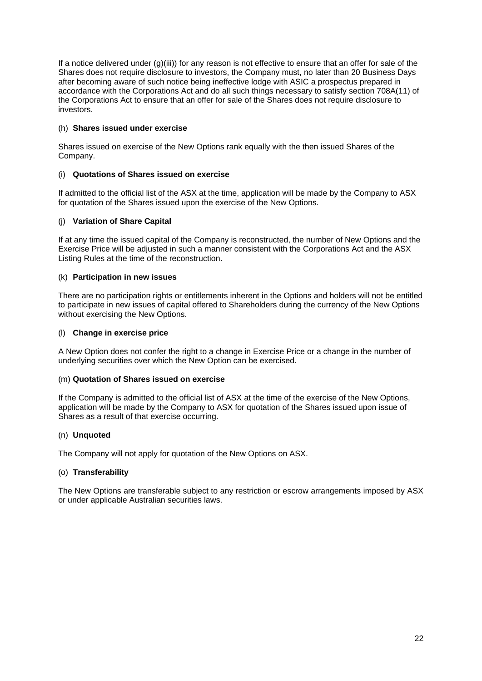If a notice delivered under (g)(iii)) for any reason is not effective to ensure that an offer for sale of the Shares does not require disclosure to investors, the Company must, no later than 20 Business Days after becoming aware of such notice being ineffective lodge with ASIC a prospectus prepared in accordance with the Corporations Act and do all such things necessary to satisfy section 708A(11) of the Corporations Act to ensure that an offer for sale of the Shares does not require disclosure to investors.

# (h) **Shares issued under exercise**

Shares issued on exercise of the New Options rank equally with the then issued Shares of the Company.

# (i) **Quotations of Shares issued on exercise**

If admitted to the official list of the ASX at the time, application will be made by the Company to ASX for quotation of the Shares issued upon the exercise of the New Options.

# (j) **Variation of Share Capital**

If at any time the issued capital of the Company is reconstructed, the number of New Options and the Exercise Price will be adjusted in such a manner consistent with the Corporations Act and the ASX Listing Rules at the time of the reconstruction.

# (k) **Participation in new issues**

There are no participation rights or entitlements inherent in the Options and holders will not be entitled to participate in new issues of capital offered to Shareholders during the currency of the New Options without exercising the New Options.

# (l) **Change in exercise price**

A New Option does not confer the right to a change in Exercise Price or a change in the number of underlying securities over which the New Option can be exercised.

# (m) **Quotation of Shares issued on exercise**

If the Company is admitted to the official list of ASX at the time of the exercise of the New Options, application will be made by the Company to ASX for quotation of the Shares issued upon issue of Shares as a result of that exercise occurring.

# (n) **Unquoted**

The Company will not apply for quotation of the New Options on ASX.

# (o) **Transferability**

The New Options are transferable subject to any restriction or escrow arrangements imposed by ASX or under applicable Australian securities laws.